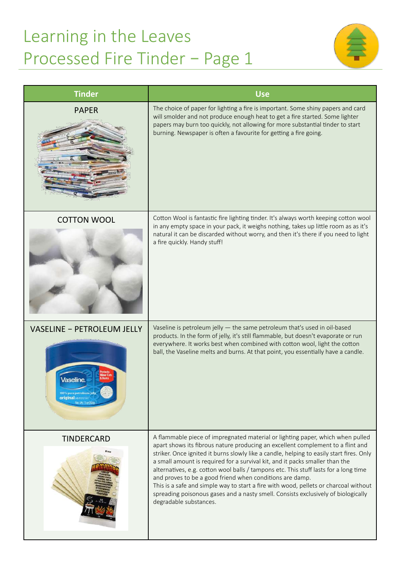## Learning in the Leaves Processed Fire Tinder – Page 1



| <b>Tinder</b>                                                                                                           | <b>Use</b>                                                                                                                                                                                                                                                                                                                                                                                                                                                                                                                                                                                                                                                                                               |
|-------------------------------------------------------------------------------------------------------------------------|----------------------------------------------------------------------------------------------------------------------------------------------------------------------------------------------------------------------------------------------------------------------------------------------------------------------------------------------------------------------------------------------------------------------------------------------------------------------------------------------------------------------------------------------------------------------------------------------------------------------------------------------------------------------------------------------------------|
| <b>PAPER</b>                                                                                                            | The choice of paper for lighting a fire is important. Some shiny papers and card<br>will smolder and not produce enough heat to get a fire started. Some lighter<br>papers may burn too quickly, not allowing for more substantial tinder to start<br>burning. Newspaper is often a favourite for getting a fire going.                                                                                                                                                                                                                                                                                                                                                                                  |
| <b>COTTON WOOL</b>                                                                                                      | Cotton Wool is fantastic fire lighting tinder. It's always worth keeping cotton wool<br>in any empty space in your pack, it weighs nothing, takes up little room as as it's<br>natural it can be discarded without worry, and then it's there if you need to light<br>a fire quickly. Handy stuff!                                                                                                                                                                                                                                                                                                                                                                                                       |
| <b>VASELINE - PETROLEUM JELLY</b><br>Vaseline<br>00% pure petroleum jell<br>original presences<br>Vet. VVt. 13 oz (3680 | Vaseline is petroleum jelly $-$ the same petroleum that's used in oil-based<br>products. In the form of jelly, it's still flammable, but doesn't evaporate or run<br>everywhere. It works best when combined with cotton wool, light the cotton<br>ball, the Vaseline melts and burns. At that point, you essentially have a candle.                                                                                                                                                                                                                                                                                                                                                                     |
| <b>TINDERCARD</b>                                                                                                       | A flammable piece of impregnated material or lighting paper, which when pulled<br>apart shows its fibrous nature producing an excellent complement to a flint and<br>striker. Once ignited it burns slowly like a candle, helping to easily start fires. Only<br>a small amount is required for a survival kit, and it packs smaller than the<br>alternatives, e.g. cotton wool balls / tampons etc. This stuff lasts for a long time<br>and proves to be a good friend when conditions are damp.<br>This is a safe and simple way to start a fire with wood, pellets or charcoal without<br>spreading poisonous gases and a nasty smell. Consists exclusively of biologically<br>degradable substances. |